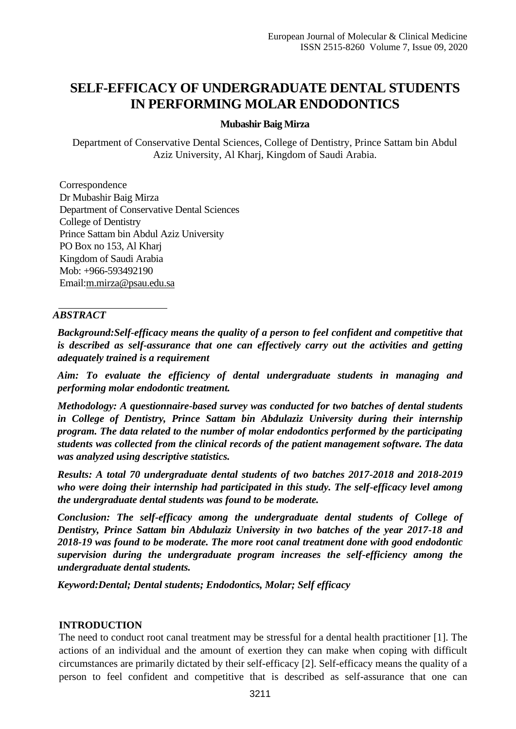# **SELF-EFFICACY OF UNDERGRADUATE DENTAL STUDENTS IN PERFORMING MOLAR ENDODONTICS**

### **Mubashir Baig Mirza**

Department of Conservative Dental Sciences, College of Dentistry, Prince Sattam bin Abdul Aziz University, Al Kharj, Kingdom of Saudi Arabia.

Correspondence Dr Mubashir Baig Mirza Department of Conservative Dental Sciences College of Dentistry Prince Sattam bin Abdul Aziz University PO Box no 153, Al Kharj Kingdom of Saudi Arabia Mob: +966-593492190 Email[:m.mirza@psau.edu.sa](mailto:m.mirza@psau.edu.sa)

### *ABSTRACT*

*Background:Self-efficacy means the quality of a person to feel confident and competitive that is described as self-assurance that one can effectively carry out the activities and getting adequately trained is a requirement*

*Aim: To evaluate the efficiency of dental undergraduate students in managing and performing molar endodontic treatment.* 

*Methodology: A questionnaire-based survey was conducted for two batches of dental students in College of Dentistry, Prince Sattam bin Abdulaziz University during their internship program. The data related to the number of molar endodontics performed by the participating students was collected from the clinical records of the patient management software. The data was analyzed using descriptive statistics.*

*Results: A total 70 undergraduate dental students of two batches 2017-2018 and 2018-2019 who were doing their internship had participated in this study. The self-efficacy level among the undergraduate dental students was found to be moderate.*

*Conclusion: The self-efficacy among the undergraduate dental students of College of Dentistry, Prince Sattam bin Abdulaziz University in two batches of the year 2017-18 and 2018-19 was found to be moderate. The more root canal treatment done with good endodontic supervision during the undergraduate program increases the self-efficiency among the undergraduate dental students.*

*Keyword:Dental; Dental students; Endodontics, Molar; Self efficacy*

## **INTRODUCTION**

The need to conduct root canal treatment may be stressful for a dental health practitioner [1]. The actions of an individual and the amount of exertion they can make when coping with difficult circumstances are primarily dictated by their self-efficacy [2]. Self-efficacy means the quality of a person to feel confident and competitive that is described as self-assurance that one can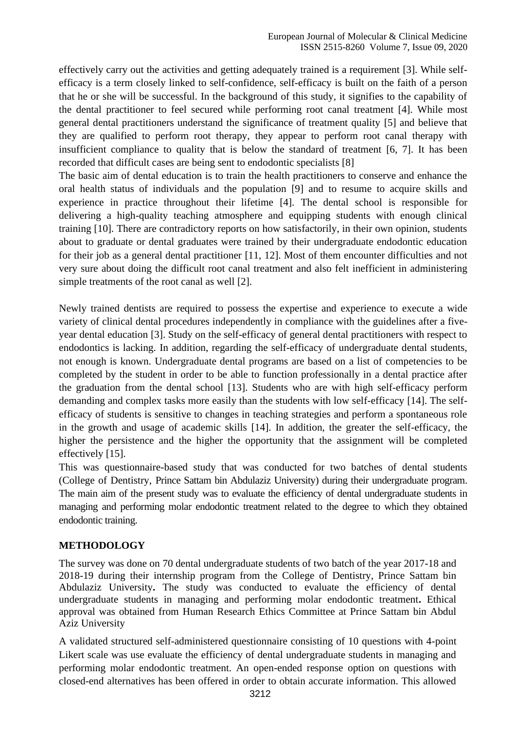effectively carry out the activities and getting adequately trained is a requirement [3]. While selfefficacy is a term closely linked to self-confidence, self-efficacy is built on the faith of a person that he or she will be successful. In the background of this study, it signifies to the capability of the dental practitioner to feel secured while performing root canal treatment [4]. While most general dental practitioners understand the significance of treatment quality [5] and believe that they are qualified to perform root therapy, they appear to perform root canal therapy with insufficient compliance to quality that is below the standard of treatment [6, 7]. It has been recorded that difficult cases are being sent to endodontic specialists [8]

The basic aim of dental education is to train the health practitioners to conserve and enhance the oral health status of individuals and the population [9] and to resume to acquire skills and experience in practice throughout their lifetime [4]. The dental school is responsible for delivering a high-quality teaching atmosphere and equipping students with enough clinical training [10]. There are contradictory reports on how satisfactorily, in their own opinion, students about to graduate or dental graduates were trained by their undergraduate endodontic education for their job as a general dental practitioner [11, 12]. Most of them encounter difficulties and not very sure about doing the difficult root canal treatment and also felt inefficient in administering simple treatments of the root canal as well [2].

Newly trained dentists are required to possess the expertise and experience to execute a wide variety of clinical dental procedures independently in compliance with the guidelines after a fiveyear dental education [3]. Study on the self-efficacy of general dental practitioners with respect to endodontics is lacking. In addition, regarding the self-efficacy of undergraduate dental students, not enough is known. Undergraduate dental programs are based on a list of competencies to be completed by the student in order to be able to function professionally in a dental practice after the graduation from the dental school [13]. Students who are with high self-efficacy perform demanding and complex tasks more easily than the students with low self-efficacy [14]. The selfefficacy of students is sensitive to changes in teaching strategies and perform a spontaneous role in the growth and usage of academic skills [14]. In addition, the greater the self-efficacy, the higher the persistence and the higher the opportunity that the assignment will be completed effectively [15].

This was questionnaire-based study that was conducted for two batches of dental students (College of Dentistry, Prince Sattam bin Abdulaziz University) during their undergraduate program. The main aim of the present study was to evaluate the efficiency of dental undergraduate students in managing and performing molar endodontic treatment related to the degree to which they obtained endodontic training.

## **METHODOLOGY**

The survey was done on 70 dental undergraduate students of two batch of the year 2017-18 and 2018-19 during their internship program from the College of Dentistry, Prince Sattam bin Abdulaziz University**.** The study was conducted to evaluate the efficiency of dental undergraduate students in managing and performing molar endodontic treatment**.** Ethical approval was obtained from Human Research Ethics Committee at Prince Sattam bin Abdul Aziz University

A validated structured self-administered questionnaire consisting of 10 questions with 4-point Likert scale was use evaluate the efficiency of dental undergraduate students in managing and performing molar endodontic treatment. An open-ended response option on questions with closed-end alternatives has been offered in order to obtain accurate information. This allowed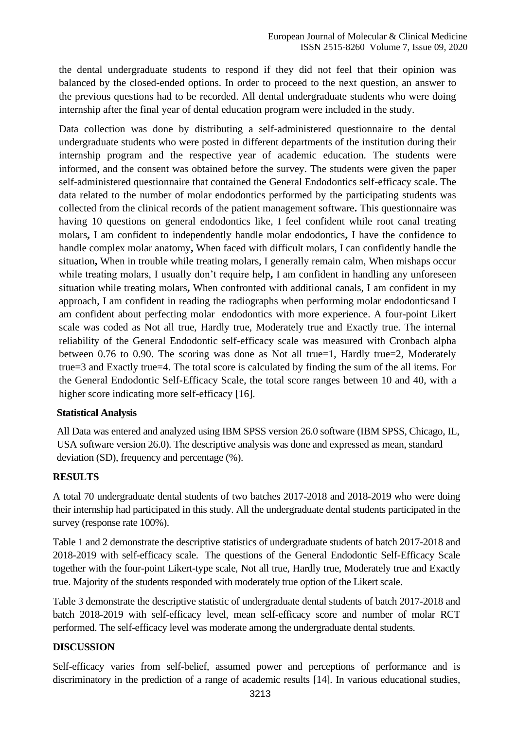the dental undergraduate students to respond if they did not feel that their opinion was balanced by the closed-ended options. In order to proceed to the next question, an answer to the previous questions had to be recorded. All dental undergraduate students who were doing internship after the final year of dental education program were included in the study.

Data collection was done by distributing a self-administered questionnaire to the dental undergraduate students who were posted in different departments of the institution during their internship program and the respective year of academic education. The students were informed, and the consent was obtained before the survey. The students were given the paper self-administered questionnaire that contained the General Endodontics self-efficacy scale. The data related to the number of molar endodontics performed by the participating students was collected from the clinical records of the patient management software**.** This questionnaire was having 10 questions on general endodontics like, I feel confident while root canal treating molars**,** I am confident to independently handle molar endodontics**,** I have the confidence to handle complex molar anatomy**,** When faced with difficult molars, I can confidently handle the situation**,** When in trouble while treating molars, I generally remain calm, When mishaps occur while treating molars, I usually don't require help**,** I am confident in handling any unforeseen situation while treating molars**,** When confronted with additional canals, I am confident in my approach, I am confident in reading the radiographs when performing molar endodonticsand I am confident about perfecting molar endodontics with more experience. A four-point Likert scale was coded as Not all true, Hardly true, Moderately true and Exactly true. The internal reliability of the General Endodontic self-efficacy scale was measured with Cronbach alpha between 0.76 to 0.90. The scoring was done as Not all true=1, Hardly true=2, Moderately true=3 and Exactly true=4. The total score is calculated by finding the sum of the all items. For the General Endodontic Self-Efficacy Scale, the total score ranges between 10 and 40, with a higher score indicating more self-efficacy [16].

#### **Statistical Analysis**

All Data was entered and analyzed using IBM SPSS version 26.0 software (IBM SPSS, Chicago, IL, USA software version 26.0). The descriptive analysis was done and expressed as mean, standard deviation (SD), frequency and percentage (%).

## **RESULTS**

A total 70 undergraduate dental students of two batches 2017-2018 and 2018-2019 who were doing their internship had participated in this study. All the undergraduate dental students participated in the survey (response rate 100%).

Table 1 and 2 demonstrate the descriptive statistics of undergraduate students of batch 2017-2018 and 2018-2019 with self-efficacy scale. The questions of the General Endodontic Self-Efficacy Scale together with the four-point Likert-type scale, Not all true, Hardly true, Moderately true and Exactly true. Majority of the students responded with moderately true option of the Likert scale.

Table 3 demonstrate the descriptive statistic of undergraduate dental students of batch 2017-2018 and batch 2018-2019 with self-efficacy level, mean self-efficacy score and number of molar RCT performed. The self-efficacy level was moderate among the undergraduate dental students.

#### **DISCUSSION**

Self-efficacy varies from self-belief, assumed power and perceptions of performance and is discriminatory in the prediction of a range of academic results [14]. In various educational studies,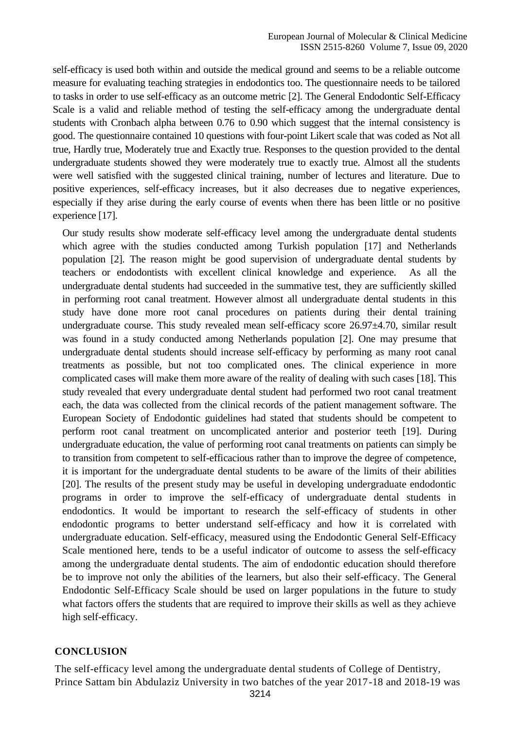self-efficacy is used both within and outside the medical ground and seems to be a reliable outcome measure for evaluating teaching strategies in endodontics too. The questionnaire needs to be tailored to tasks in order to use self-efficacy as an outcome metric [2]. The General Endodontic Self-Efficacy Scale is a valid and reliable method of testing the self-efficacy among the undergraduate dental students with Cronbach alpha between 0.76 to 0.90 which suggest that the internal consistency is good. The questionnaire contained 10 questions with four-point Likert scale that was coded as Not all true, Hardly true, Moderately true and Exactly true. Responses to the question provided to the dental undergraduate students showed they were moderately true to exactly true. Almost all the students were well satisfied with the suggested clinical training, number of lectures and literature. Due to positive experiences, self-efficacy increases, but it also decreases due to negative experiences, especially if they arise during the early course of events when there has been little or no positive experience [17].

Our study results show moderate self-efficacy level among the undergraduate dental students which agree with the studies conducted among Turkish population [17] and Netherlands population [2]. The reason might be good supervision of undergraduate dental students by teachers or endodontists with excellent clinical knowledge and experience. As all the undergraduate dental students had succeeded in the summative test, they are sufficiently skilled in performing root canal treatment. However almost all undergraduate dental students in this study have done more root canal procedures on patients during their dental training undergraduate course. This study revealed mean self-efficacy score 26.97 $\pm$ 4.70, similar result was found in a study conducted among Netherlands population [2]. One may presume that undergraduate dental students should increase self-efficacy by performing as many root canal treatments as possible, but not too complicated ones. The clinical experience in more complicated cases will make them more aware of the reality of dealing with such cases [18]. This study revealed that every undergraduate dental student had performed two root canal treatment each, the data was collected from the clinical records of the patient management software. The European Society of Endodontic guidelines had stated that students should be competent to perform root canal treatment on uncomplicated anterior and posterior teeth [19]. During undergraduate education, the value of performing root canal treatments on patients can simply be to transition from competent to self-efficacious rather than to improve the degree of competence, it is important for the undergraduate dental students to be aware of the limits of their abilities [20]. The results of the present study may be useful in developing undergraduate endodontic programs in order to improve the self-efficacy of undergraduate dental students in endodontics. It would be important to research the self-efficacy of students in other endodontic programs to better understand self-efficacy and how it is correlated with undergraduate education. Self-efficacy, measured using the Endodontic General Self-Efficacy Scale mentioned here, tends to be a useful indicator of outcome to assess the self-efficacy among the undergraduate dental students. The aim of endodontic education should therefore be to improve not only the abilities of the learners, but also their self-efficacy. The General Endodontic Self-Efficacy Scale should be used on larger populations in the future to study what factors offers the students that are required to improve their skills as well as they achieve high self-efficacy.

#### **CONCLUSION**

The self-efficacy level among the undergraduate dental students of College of Dentistry, Prince Sattam bin Abdulaziz University in two batches of the year 2017-18 and 2018-19 was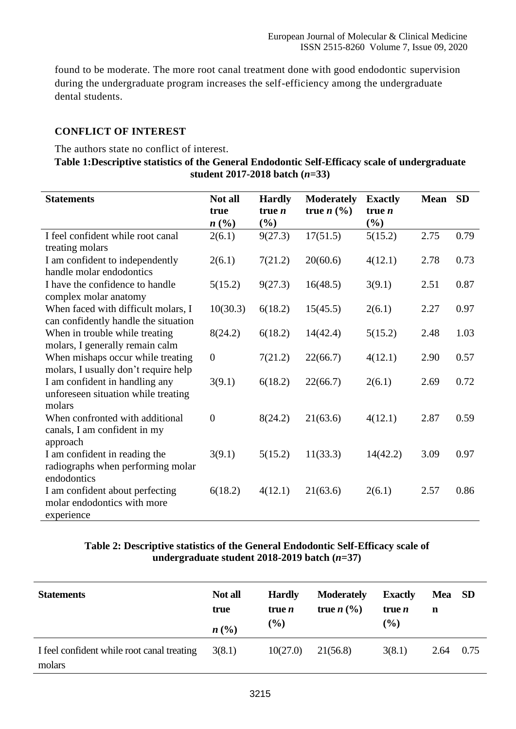found to be moderate. The more root canal treatment done with good endodontic supervision during the undergraduate program increases the self-efficiency among the undergraduate dental students.

## **CONFLICT OF INTEREST**

The authors state no conflict of interest.

### **Table 1:Descriptive statistics of the General Endodontic Self-Efficacy scale of undergraduate student 2017-2018 batch (***n***=33)**

| <b>Statements</b>                                                                 | Not all          | <b>Hardly</b>             | <b>Moderately</b>                | <b>Exactly</b>  | <b>Mean</b> | <b>SD</b> |
|-----------------------------------------------------------------------------------|------------------|---------------------------|----------------------------------|-----------------|-------------|-----------|
|                                                                                   | true<br>n(%)     | $true$ <i>n</i><br>$(\%)$ | true $n\left(\frac{0}{0}\right)$ | true $n$<br>(%) |             |           |
| I feel confident while root canal<br>treating molars                              | 2(6.1)           | 9(27.3)                   | 17(51.5)                         | 5(15.2)         | 2.75        | 0.79      |
| I am confident to independently<br>handle molar endodontics                       | 2(6.1)           | 7(21.2)                   | 20(60.6)                         | 4(12.1)         | 2.78        | 0.73      |
| I have the confidence to handle<br>complex molar anatomy                          | 5(15.2)          | 9(27.3)                   | 16(48.5)                         | 3(9.1)          | 2.51        | 0.87      |
| When faced with difficult molars, I<br>can confidently handle the situation       | 10(30.3)         | 6(18.2)                   | 15(45.5)                         | 2(6.1)          | 2.27        | 0.97      |
| When in trouble while treating<br>molars, I generally remain calm                 | 8(24.2)          | 6(18.2)                   | 14(42.4)                         | 5(15.2)         | 2.48        | 1.03      |
| When mishaps occur while treating<br>molars, I usually don't require help         | $\boldsymbol{0}$ | 7(21.2)                   | 22(66.7)                         | 4(12.1)         | 2.90        | 0.57      |
| I am confident in handling any<br>unforeseen situation while treating<br>molars   | 3(9.1)           | 6(18.2)                   | 22(66.7)                         | 2(6.1)          | 2.69        | 0.72      |
| When confronted with additional<br>canals, I am confident in my<br>approach       | $\boldsymbol{0}$ | 8(24.2)                   | 21(63.6)                         | 4(12.1)         | 2.87        | 0.59      |
| I am confident in reading the<br>radiographs when performing molar<br>endodontics | 3(9.1)           | 5(15.2)                   | 11(33.3)                         | 14(42.2)        | 3.09        | 0.97      |
| I am confident about perfecting<br>molar endodontics with more<br>experience      | 6(18.2)          | 4(12.1)                   | 21(63.6)                         | 2(6.1)          | 2.57        | 0.86      |

## **Table 2: Descriptive statistics of the General Endodontic Self-Efficacy scale of undergraduate student 2018-2019 batch (***n***=37)**

| <b>Statements</b>                                    | Not all<br>true | <b>Hardly</b><br>true <i>n</i><br>$(\%)$ | <b>Moderately</b><br>true $n\left(\frac{0}{0}\right)$ | <b>Exactly</b><br>true <i>n</i><br>$\frac{9}{6}$ | Mea<br>n | <b>SD</b> |
|------------------------------------------------------|-----------------|------------------------------------------|-------------------------------------------------------|--------------------------------------------------|----------|-----------|
|                                                      | $n\ (\%)$       |                                          |                                                       |                                                  |          |           |
| I feel confident while root canal treating<br>molars | 3(8.1)          | 10(27.0)                                 | 21(56.8)                                              | 3(8.1)                                           | 2.64     | 0.75      |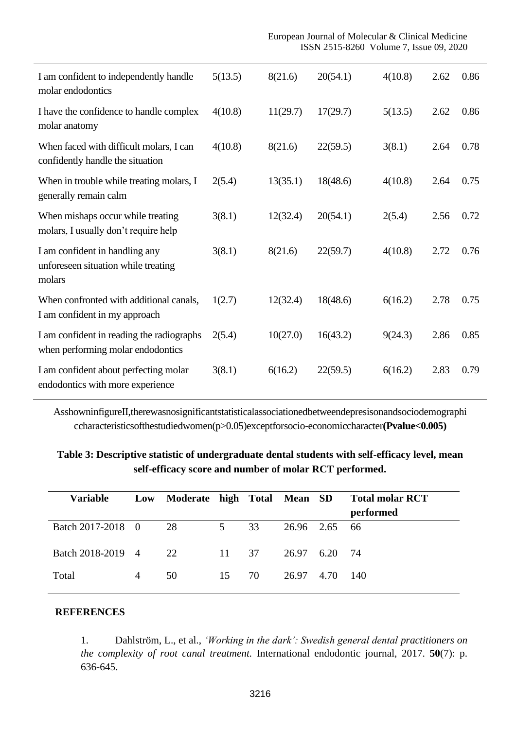| I am confident to independently handle<br>molar endodontics                     | 5(13.5) | 8(21.6)  | 20(54.1) | 4(10.8) | 2.62 | 0.86 |
|---------------------------------------------------------------------------------|---------|----------|----------|---------|------|------|
| I have the confidence to handle complex<br>molar anatomy                        | 4(10.8) | 11(29.7) | 17(29.7) | 5(13.5) | 2.62 | 0.86 |
| When faced with difficult molars, I can<br>confidently handle the situation     | 4(10.8) | 8(21.6)  | 22(59.5) | 3(8.1)  | 2.64 | 0.78 |
| When in trouble while treating molars, I<br>generally remain calm               | 2(5.4)  | 13(35.1) | 18(48.6) | 4(10.8) | 2.64 | 0.75 |
| When mishaps occur while treating<br>molars, I usually don't require help       | 3(8.1)  | 12(32.4) | 20(54.1) | 2(5.4)  | 2.56 | 0.72 |
| I am confident in handling any<br>unforeseen situation while treating<br>molars | 3(8.1)  | 8(21.6)  | 22(59.7) | 4(10.8) | 2.72 | 0.76 |
| When confronted with additional canals,<br>I am confident in my approach        | 1(2.7)  | 12(32.4) | 18(48.6) | 6(16.2) | 2.78 | 0.75 |
| I am confident in reading the radiographs<br>when performing molar endodontics  | 2(5.4)  | 10(27.0) | 16(43.2) | 9(24.3) | 2.86 | 0.85 |
| I am confident about perfecting molar<br>endodontics with more experience       | 3(8.1)  | 6(16.2)  | 22(59.5) | 6(16.2) | 2.83 | 0.79 |

AsshowninfigureII,therewasnosignificantstatisticalassociationedbetweendepresisonandsociodemographi ccharacteristicsofthestudiedwomen(p>0.05)exceptforsocio-economiccharacter**(Pvalue<0.005)**

## **Table 3: Descriptive statistic of undergraduate dental students with self-efficacy level, mean self-efficacy score and number of molar RCT performed.**

| <b>Variable</b>   | Low | Moderate high Total Mean SD |                |    |            |      | <b>Total molar RCT</b><br>performed |
|-------------------|-----|-----------------------------|----------------|----|------------|------|-------------------------------------|
| Batch 2017-2018 0 |     | 28                          | 5 <sup>5</sup> | 33 | 26.96 2.65 |      | -66                                 |
| Batch 2018-2019 4 |     | 22                          | 11             | 37 | 26.97      | 6.20 | -74                                 |
| Total             | 4   | 50                          | 15             | 70 | 26.97      | 4.70 | -140                                |

#### **REFERENCES**

1. Dahlström, L., et al., *'Working in the dark': Swedish general dental practitioners on the complexity of root canal treatment.* International endodontic journal, 2017. **50**(7): p. 636-645.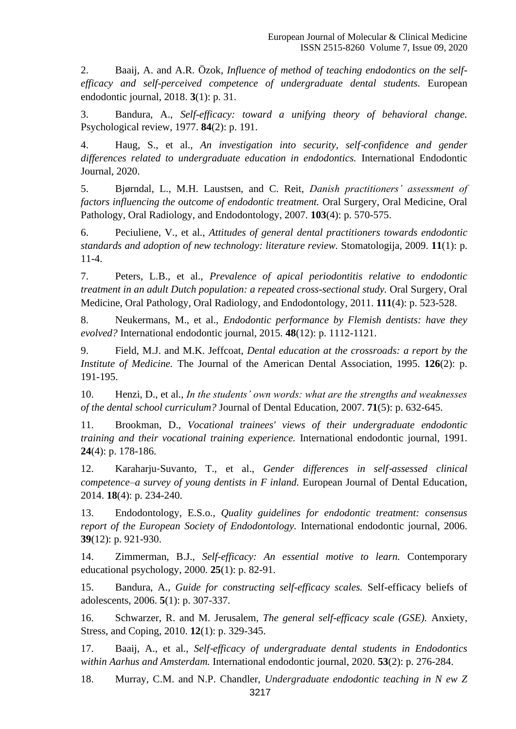2. Baaij, A. and A.R. Özok, *Influence of method of teaching endodontics on the selfefficacy and self-perceived competence of undergraduate dental students.* European endodontic journal, 2018. **3**(1): p. 31.

3. Bandura, A., *Self-efficacy: toward a unifying theory of behavioral change.* Psychological review, 1977. **84**(2): p. 191.

4. Haug, S., et al., *An investigation into security, self*‐*confidence and gender differences related to undergraduate education in endodontics.* International Endodontic Journal, 2020.

5. Bjørndal, L., M.H. Laustsen, and C. Reit, *Danish practitioners' assessment of factors influencing the outcome of endodontic treatment.* Oral Surgery, Oral Medicine, Oral Pathology, Oral Radiology, and Endodontology, 2007. **103**(4): p. 570-575.

6. Peciuliene, V., et al., *Attitudes of general dental practitioners towards endodontic standards and adoption of new technology: literature review.* Stomatologija, 2009. **11**(1): p. 11-4.

7. Peters, L.B., et al., *Prevalence of apical periodontitis relative to endodontic treatment in an adult Dutch population: a repeated cross-sectional study.* Oral Surgery, Oral Medicine, Oral Pathology, Oral Radiology, and Endodontology, 2011. **111**(4): p. 523-528.

8. Neukermans, M., et al., *Endodontic performance by Flemish dentists: have they evolved?* International endodontic journal, 2015. **48**(12): p. 1112-1121.

9. Field, M.J. and M.K. Jeffcoat, *Dental education at the crossroads: a report by the Institute of Medicine.* The Journal of the American Dental Association, 1995. **126**(2): p. 191-195.

10. Henzi, D., et al., *In the students' own words: what are the strengths and weaknesses of the dental school curriculum?* Journal of Dental Education, 2007. **71**(5): p. 632-645.

11. Brookman, D., *Vocational trainees' views of their undergraduate endodontic training and their vocational training experience.* International endodontic journal, 1991. **24**(4): p. 178-186.

12. Karaharju‐Suvanto, T., et al., *Gender differences in self*‐*assessed clinical competence–a survey of young dentists in F inland.* European Journal of Dental Education, 2014. **18**(4): p. 234-240.

13. Endodontology, E.S.o., *Quality guidelines for endodontic treatment: consensus report of the European Society of Endodontology.* International endodontic journal, 2006. **39**(12): p. 921-930.

14. Zimmerman, B.J., *Self-efficacy: An essential motive to learn.* Contemporary educational psychology, 2000. **25**(1): p. 82-91.

15. Bandura, A., *Guide for constructing self-efficacy scales.* Self-efficacy beliefs of adolescents, 2006. **5**(1): p. 307-337.

16. Schwarzer, R. and M. Jerusalem, *The general self-efficacy scale (GSE).* Anxiety, Stress, and Coping, 2010. **12**(1): p. 329-345.

17. Baaij, A., et al., *Self*‐*efficacy of undergraduate dental students in Endodontics within Aarhus and Amsterdam.* International endodontic journal, 2020. **53**(2): p. 276-284.

18. Murray, C.M. and N.P. Chandler, *Undergraduate endodontic teaching in N ew Z*